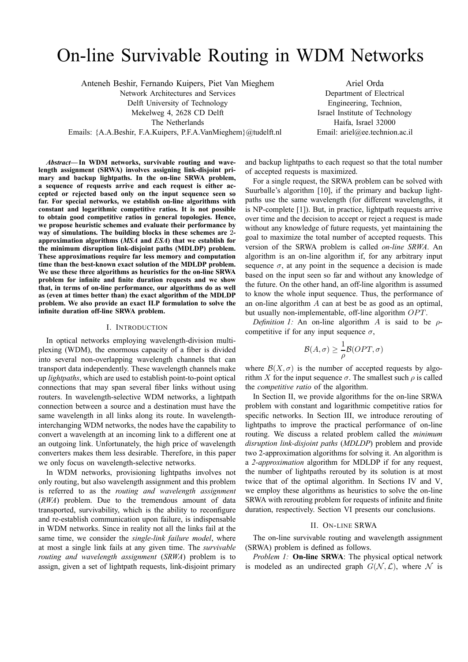# On-line Survivable Routing in WDM Networks

Anteneh Beshir, Fernando Kuipers, Piet Van Mieghem Network Architectures and Services Delft University of Technology Mekelweg 4, 2628 CD Delft The Netherlands Emails: {A.A.Beshir, F.A.Kuipers, P.F.A.VanMieghem}@tudelft.nl

Ariel Orda Department of Electrical Engineering, Technion, Israel Institute of Technology Haifa, Israel 32000 Email: ariel@ee.technion.ac.il

*Abstract***— In WDM networks, survivable routing and wavelength assignment (SRWA) involves assigning link-disjoint primary and backup lightpaths. In the on-line SRWA problem, a sequence of requests arrive and each request is either accepted or rejected based only on the input sequence seen so far. For special networks, we establish on-line algorithms with constant and logarithmic competitive ratios. It is not possible to obtain good competitive ratios in general topologies. Hence, we propose heuristic schemes and evaluate their performance by way of simulations. The building blocks in these schemes are** 2 **approximation algorithms (***MSA* **and** *ESA***) that we establish for the minimum disruption link-disjoint paths (MDLDP) problem. These approximations require far less memory and computation time than the best-known exact solution of the MDLDP problem. We use these three algorithms as heuristics for the on-line SRWA problem for infinite and finite duration requests and we show that, in terms of on-line performance, our algorithms do as well as (even at times better than) the exact algorithm of the MDLDP problem. We also provide an exact ILP formulation to solve the infinite duration off-line SRWA problem.**

#### I. INTRODUCTION

In optical networks employing wavelength-division multiplexing (WDM), the enormous capacity of a fiber is divided into several non-overlapping wavelength channels that can transport data independently. These wavelength channels make up *lightpaths*, which are used to establish point-to-point optical connections that may span several fiber links without using routers. In wavelength-selective WDM networks, a lightpath connection between a source and a destination must have the same wavelength in all links along its route. In wavelengthinterchanging WDM networks, the nodes have the capability to convert a wavelength at an incoming link to a different one at an outgoing link. Unfortunately, the high price of wavelength converters makes them less desirable. Therefore, in this paper we only focus on wavelength-selective networks.

In WDM networks, provisioning lightpaths involves not only routing, but also wavelength assignment and this problem is referred to as the *routing and wavelength assignment* (*RWA*) problem. Due to the tremendous amount of data transported, survivability, which is the ability to reconfigure and re-establish communication upon failure, is indispensable in WDM networks. Since in reality not all the links fail at the same time, we consider the *single-link failure model*, where at most a single link fails at any given time. The *survivable routing and wavelength assignment* (*SRWA*) problem is to assign, given a set of lightpath requests, link-disjoint primary and backup lightpaths to each request so that the total number of accepted requests is maximized.

For a single request, the SRWA problem can be solved with Suurballe's algorithm [10], if the primary and backup lightpaths use the same wavelength (for different wavelengths, it is NP-complete [1]). But, in practice, lightpath requests arrive over time and the decision to accept or reject a request is made without any knowledge of future requests, yet maintaining the goal to maximize the total number of accepted requests. This version of the SRWA problem is called *on-line SRWA*. An algorithm is an on-line algorithm if, for any arbitrary input sequence  $\sigma$ , at any point in the sequence a decision is made based on the input seen so far and without any knowledge of the future. On the other hand, an off-line algorithm is assumed to know the whole input sequence. Thus, the performance of an on-line algorithm A can at best be as good as an optimal, but usually non-implementable, off-line algorithm OPT.

*Definition 1:* An on-line algorithm A is said to be  $\rho$ competitive if for any input sequence  $\sigma$ ,

$$
\mathcal{B}(A,\sigma) \ge \frac{1}{\rho} \mathcal{B}(OPT,\sigma)
$$

where  $\mathcal{B}(X,\sigma)$  is the number of accepted requests by algorithm X for the input sequence  $\sigma$ . The smallest such  $\rho$  is called the *competitive ratio* of the algorithm.

In Section II, we provide algorithms for the on-line SRWA problem with constant and logarithmic competitive ratios for specific networks. In Section III, we introduce rerouting of lightpaths to improve the practical performance of on-line routing. We discuss a related problem called the *minimum disruption link-disjoint paths* (*MDLDP*) problem and provide two 2-approximation algorithms for solving it. An algorithm is a *2-approximation* algorithm for MDLDP if for any request, the number of lightpaths rerouted by its solution is at most twice that of the optimal algorithm. In Sections IV and V, we employ these algorithms as heuristics to solve the on-line SRWA with rerouting problem for requests of infinite and finite duration, respectively. Section VI presents our conclusions.

#### II. ON-LINE SRWA

The on-line survivable routing and wavelength assignment (SRWA) problem is defined as follows.

*Problem 1:* **On-line SRWA**: The physical optical network is modeled as an undirected graph  $G(\mathcal{N}, \mathcal{L})$ , where  $\mathcal N$  is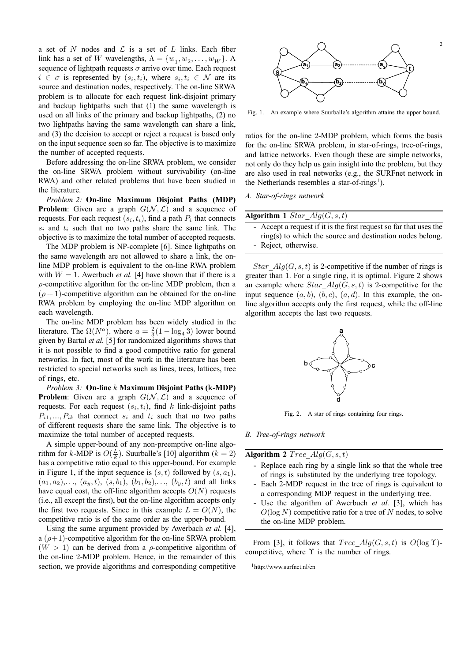a set of  $N$  nodes and  $\mathcal L$  is a set of  $L$  links. Each fiber link has a set of W wavelengths,  $\Lambda = \{w_1, w_2, \ldots, w_W\}$ . A sequence of lightpath requests  $\sigma$  arrive over time. Each request  $i \in \sigma$  is represented by  $(s_i, t_i)$ , where  $s_i, t_i \in \mathcal{N}$  are its source and destination nodes, respectively. The on-line SRWA problem is to allocate for each request link-disjoint primary and backup lightpaths such that (1) the same wavelength is used on all links of the primary and backup lightpaths, (2) no two lightpaths having the same wavelength can share a link, and (3) the decision to accept or reject a request is based only on the input sequence seen so far. The objective is to maximize the number of accepted requests.

Before addressing the on-line SRWA problem, we consider the on-line SRWA problem without survivability (on-line RWA) and other related problems that have been studied in the literature.

*Problem 2:* **On-line Maximum Disjoint Paths (MDP) Problem**: Given are a graph  $G(N, \mathcal{L})$  and a sequence of requests. For each request  $(s_i, t_i)$ , find a path  $P_i$  that connects  $s_i$  and  $t_i$  such that no two paths share the same link. The objective is to maximize the total number of accepted requests.

The MDP problem is NP-complete [6]. Since lightpaths on the same wavelength are not allowed to share a link, the online MDP problem is equivalent to the on-line RWA problem with  $W = 1$ . Awerbuch *et al.* [4] have shown that if there is a  $\rho$ -competitive algorithm for the on-line MDP problem, then a  $(\rho + 1)$ -competitive algorithm can be obtained for the on-line RWA problem by employing the on-line MDP algorithm on each wavelength.

The on-line MDP problem has been widely studied in the literature. The  $\Omega(N^a)$ , where  $a = \frac{2}{3}(1 - \log_4 3)$  lower bound given by Bartal *et al.* [5] for randomized algorithms shows that it is not possible to find a good competitive ratio for general networks. In fact, most of the work in the literature has been restricted to special networks such as lines, trees, lattices, tree of rings, etc.

*Problem 3:* **On-line** k **Maximum Disjoint Paths (**k**-MDP) Problem**: Given are a graph  $G(\mathcal{N}, \mathcal{L})$  and a sequence of requests. For each request  $(s_i, t_i)$ , find k link-disjoint paths  $P_{i1},..., P_{ik}$  that connect  $s_i$  and  $t_i$  such that no two paths of different requests share the same link. The objective is to maximize the total number of accepted requests.

A simple upper-bound of any non-preemptive on-line algorithm for k-MDP is  $O(\frac{L}{k})$ . Suurballe's [10] algorithm ( $k = 2$ ) has a competitive ratio equal to this upper-bound. For example in Figure 1, if the input sequence is  $(s, t)$  followed by  $(s, a<sub>1</sub>)$ ,  $(a_1, a_2), \ldots, (a_y, t), (s, b_1), (b_1, b_2), \ldots, (b_y, t)$  and all links have equal cost, the off-line algorithm accepts  $O(N)$  requests (i.e., all except the first), but the on-line algorithm accepts only the first two requests. Since in this example  $L = O(N)$ , the competitive ratio is of the same order as the upper-bound.

Using the same argument provided by Awerbach *et al.* [4], a  $(\rho+1)$ -competitive algorithm for the on-line SRWA problem  $(W > 1)$  can be derived from a *ρ*-competitive algorithm of the on-line 2-MDP problem. Hence, in the remainder of this section, we provide algorithms and corresponding competitive



Fig. 1. An example where Suurballe's algorithm attains the upper bound.

ratios for the on-line 2-MDP problem, which forms the basis for the on-line SRWA problem, in star-of-rings, tree-of-rings, and lattice networks. Even though these are simple networks, not only do they help us gain insight into the problem, but they are also used in real networks (e.g., the SURFnet network in the Netherlands resembles a star-of-rings<sup>1</sup>).

*A. Star-of-rings network*

| Algorithm 1 Star $Alg(G, s, t)$                                                                                                 |
|---------------------------------------------------------------------------------------------------------------------------------|
| - Accept a request if it is the first request so far that uses the<br>ring(s) to which the source and destination nodes belong. |
| - Reject, otherwise.                                                                                                            |

Star  $Alg(G, s, t)$  is 2-competitive if the number of rings is greater than 1. For a single ring, it is optimal. Figure 2 shows an example where  $Star\_Alg(G, s, t)$  is 2-competitive for the input sequence  $(a, b)$ ,  $(b, c)$ ,  $(a, d)$ . In this example, the online algorithm accepts only the first request, while the off-line algorithm accepts the last two requests.



Fig. 2. A star of rings containing four rings.

*B. Tree-of-rings network*

| Algorithm 2 Tree $Alg(G, s, t)$                               |
|---------------------------------------------------------------|
| - Replace each ring by a single link so that the whole tree   |
| of rings is substituted by the underlying tree topology.      |
| - Each 2-MDP request in the tree of rings is equivalent to    |
| a corresponding MDP request in the underlying tree.           |
| - Use the algorithm of Awerbuch et al. [3], which has         |
| $O(\log N)$ competitive ratio for a tree of N nodes, to solve |

From [3], it follows that  $Tree\ Alg(G, s, t)$  is  $O(log \Upsilon)$ competitive, where  $\Upsilon$  is the number of rings.

1http://www.surfnet.nl/en

the on-line MDP problem.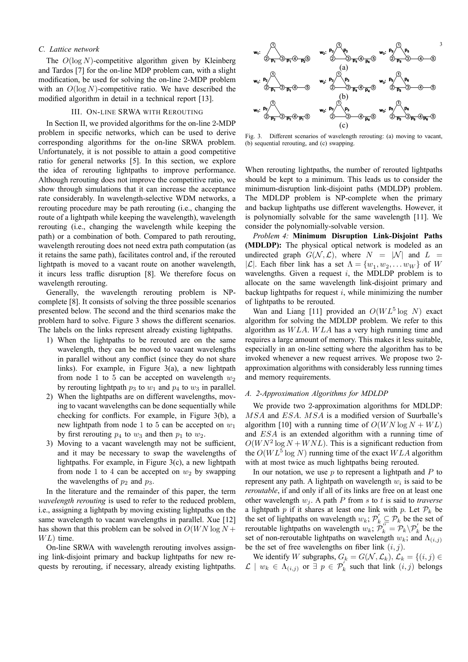# *C. Lattice network*

The  $O(\log N)$ -competitive algorithm given by Kleinberg and Tardos [7] for the on-line MDP problem can, with a slight modification, be used for solving the on-line 2-MDP problem with an  $O(\log N)$ -competitive ratio. We have described the modified algorithm in detail in a technical report [13].

#### III. ON-LINE SRWA WITH REROUTING

In Section II, we provided algorithms for the on-line 2-MDP problem in specific networks, which can be used to derive corresponding algorithms for the on-line SRWA problem. Unfortunately, it is not possible to attain a good competitive ratio for general networks [5]. In this section, we explore the idea of rerouting lightpaths to improve performance. Although rerouting does not improve the competitive ratio, we show through simulations that it can increase the acceptance rate considerably. In wavelength-selective WDM networks, a rerouting procedure may be path rerouting (i.e., changing the route of a lightpath while keeping the wavelength), wavelength rerouting (i.e., changing the wavelength while keeping the path) or a combination of both. Compared to path rerouting, wavelength rerouting does not need extra path computation (as it retains the same path), facilitates control and, if the rerouted lightpath is moved to a vacant route on another wavelength, it incurs less traffic disruption [8]. We therefore focus on wavelength rerouting.

Generally, the wavelength rerouting problem is NPcomplete [8]. It consists of solving the three possible scenarios presented below. The second and the third scenarios make the problem hard to solve. Figure 3 shows the different scenarios. The labels on the links represent already existing lightpaths.

- 1) When the lightpaths to be rerouted are on the same wavelength, they can be moved to vacant wavelengths in parallel without any conflict (since they do not share links). For example, in Figure 3(a), a new lightpath from node 1 to 5 can be accepted on wavelength  $w_2$ by rerouting lightpath  $p_3$  to  $w_1$  and  $p_4$  to  $w_3$  in parallel.
- 2) When the lightpaths are on different wavelengths, moving to vacant wavelengths can be done sequentially while checking for conflicts. For example, in Figure 3(b), a new lightpath from node 1 to 5 can be accepted on  $w_1$ by first rerouting  $p_4$  to  $w_3$  and then  $p_1$  to  $w_2$ .
- 3) Moving to a vacant wavelength may not be sufficient, and it may be necessary to swap the wavelengths of lightpaths. For example, in Figure 3(c), a new lightpath from node 1 to 4 can be accepted on  $w_2$  by swapping the wavelengths of  $p_2$  and  $p_3$ .

In the literature and the remainder of this paper, the term *wavelength rerouting* is used to refer to the reduced problem, i.e., assigning a lightpath by moving existing lightpaths on the same wavelength to vacant wavelengths in parallel. Xue [12] has shown that this problem can be solved in  $O(WN \log N +$  $WL$ ) time.

On-line SRWA with wavelength rerouting involves assigning link-disjoint primary and backup lightpaths for new requests by rerouting, if necessary, already existing lightpaths.



Fig. 3. Different scenarios of wavelength rerouting: (a) moving to vacant, (b) sequential rerouting, and (c) swapping.

When rerouting lightpaths, the number of rerouted lightpaths should be kept to a minimum. This leads us to consider the minimum-disruption link-disjoint paths (MDLDP) problem. The MDLDP problem is NP-complete when the primary and backup lightpaths use different wavelengths. However, it is polynomially solvable for the same wavelength [11]. We consider the polynomially-solvable version.

*Problem 4:* **Minimum Disruption Link-Disjoint Paths (MDLDP):** The physical optical network is modeled as an undirected graph  $G(\mathcal{N}, \mathcal{L})$ , where  $N = |\mathcal{N}|$  and  $L =$ |L|. Each fiber link has a set  $\Lambda = \{w_1, w_2, \dots w_W\}$  of W wavelengths. Given a request  $i$ , the MDLDP problem is to allocate on the same wavelength link-disjoint primary and backup lightpaths for request  $i$ , while minimizing the number of lightpaths to be rerouted.

Wan and Liang [11] provided an  $O(WL^5 \log N)$  exact algorithm for solving the MDLDP problem. We refer to this algorithm as WLA. WLA has a very high running time and requires a large amount of memory. This makes it less suitable, especially in an on-line setting where the algorithm has to be invoked whenever a new request arrives. We propose two 2 approximation algorithms with considerably less running times and memory requirements.

### *A. 2-Approximation Algorithms for MDLDP*

We provide two 2-approximation algorithms for MDLDP: MSA and ESA. MSA is a modified version of Suurballe's algorithm [10] with a running time of  $O(WN \log N + WL)$ and ESA is an extended algorithm with a running time of  $O(WN^2 \log N + WNL)$ . This is a significant reduction from the  $O(WL^5 \log N)$  running time of the exact  $WLA$  algorithm with at most twice as much lightpaths being rerouted.

In our notation, we use  $p$  to represent a lightpath and  $P$  to represent any path. A lightpath on wavelength  $w_i$  is said to be *reroutable*, if and only if all of its links are free on at least one other wavelength  $w_i$ . A path P from s to t is said to *traverse* a lightpath p if it shares at least one link with p. Let  $\mathcal{P}_k$  be the set of lightpaths on wavelength  $w_k$ ;  $\mathcal{P}'_k \subseteq \mathcal{P}_k$  be the set of reroutable lightpaths on wavelength  $w_k$ ;  $\mathcal{P}_k'' = \mathcal{P}_k \backslash \mathcal{P}_k'$  be the set of non-reroutable lightpaths on wavelength  $w_k$ ; and  $\Lambda_{(i,j)}$ be the set of free wavelengths on fiber link  $(i, j)$ .

We identify W subgraphs,  $G_k = G(\mathcal{N}, \mathcal{L}_k)$ ,  $\mathcal{L}_k = \{(i, j) \in$  $\mathcal{L} \mid w_k \in \Lambda_{(i,j)}$  or  $\exists p \in \mathcal{P}_k'$  such that link  $(i,j)$  belongs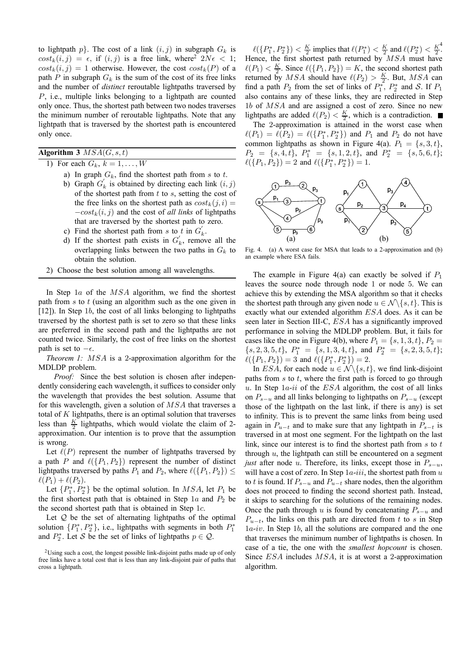to lightpath  $p$ . The cost of a link  $(i, j)$  in subgraph  $G_k$  is  $cost_k(i, j) = \epsilon$ , if  $(i, j)$  is a free link, where<sup>2</sup>  $2N\epsilon < 1$ ;  $cost_k(i, j) = 1$  otherwise. However, the cost  $cost_k(P)$  of a path P in subgraph  $G_k$  is the sum of the cost of its free links and the number of *distinct* reroutable lightpaths traversed by P, i.e., multiple links belonging to a lightpath are counted only once. Thus, the shortest path between two nodes traverses the minimum number of reroutable lightpaths. Note that any lightpath that is traversed by the shortest path is encountered only once.

**Algorithm 3** MSA(G, s, t)

1) For each  $G_k$ ,  $k = 1, \ldots, W$ 

- a) In graph  $G_k$ , find the shortest path from s to t.
- b) Graph  $G'_k$  is obtained by directing each link  $(i, j)$ of the shortest path from  $t$  to  $s$ , setting the cost of the free links on the shortest path as  $cost_k(j, i)$  =  $-cost_k(i, j)$  and the cost of *all links* of lightpaths that are traversed by the shortest path to zero.
- c) Find the shortest path from s to t in  $G'_{k}$ .
- d) If the shortest path exists in  $G'_k$ , remove all the overlapping links between the two paths in  $G_k$  to obtain the solution.
- 2) Choose the best solution among all wavelengths.

In Step 1a of the MSA algorithm, we find the shortest path from  $s$  to  $t$  (using an algorithm such as the one given in [12]). In Step 1b, the cost of all links belonging to lightpaths traversed by the shortest path is set to zero so that these links are preferred in the second path and the lightpaths are not counted twice. Similarly, the cost of free links on the shortest path is set to  $-\epsilon$ .

*Theorem 1:* MSA is a 2-approximation algorithm for the MDLDP problem.

*Proof:* Since the best solution is chosen after independently considering each wavelength, it suffices to consider only the wavelength that provides the best solution. Assume that for this wavelength, given a solution of MSA that traverses a total of  $K$  lightpaths, there is an optimal solution that traverses less than  $\frac{K}{2}$  lightpaths, which would violate the claim of 2approximation. Our intention is to prove that the assumption is wrong.

Let  $\ell(P)$  represent the number of lightpaths traversed by a path P and  $\ell({P_1, P_2})$  represent the number of distinct lightpaths traversed by paths  $P_1$  and  $P_2$ , where  $\ell({P_1, P_2}) \leq$  $\ell(P_1) + \ell(P_2)$ .

Let  $\{P_1^*, P_2^*\}$  be the optimal solution. In *MSA*, let  $P_1$  be the first shortest path that is obtained in Step 1a and  $P_2$  be the second shortest path that is obtained in Step 1c.

Let  $Q$  be the set of alternating lightpaths of the optimal solution  $\{P_1^*, P_2^*\}$ , i.e., lightpaths with segments in both  $P_1^*$ and  $P_2^*$ . Let S be the set of links of lightpaths  $p \in \mathcal{Q}$ .

 $\ell({P_1^*,P_2^*}) < \frac{K}{2}$  implies that  $\ell(P_1^*) < \frac{K}{2}$  and  $\ell(P_2^*) < \frac{K^2}{2}$ . Hence, the first shortest path returned by  $MSA$  must have  $\ell(P_1) < \frac{K}{2}$ . Since  $\ell(\lbrace P_1, P_2 \rbrace) = K$ , the second shortest path returned by *MSA* should have  $\ell(P_2) > \frac{K}{2}$ . But, *MSA* can find a path  $P_2$  from the set of links of  $P_1^*$ ,  $P_2^*$  and S. If  $P_1$ also contains any of these links, they are redirected in Step 1b of MSA and are assigned a cost of zero. Since no new lightpaths are added  $\ell(P_2) < \frac{K}{2}$ , which is a contradiction.

The 2-approximation is attained in the worst case when  $\ell(P_1) = \ell(P_2) = \ell(\{P_1^*, P_2^*\})$  and  $P_1$  and  $P_2$  do not have common lightpaths as shown in Figure 4(a).  $P_1 = \{s, 3, t\},\$  $P_2 = \{s, 4, t\}, P_1^* = \{s, 1, 2, t\}, \text{ and } P_2^* = \{s, 5, 6, t\};$  $\ell({P_1, P_2}) = 2$  and  $\ell({P_1^*, P_2^*}) = 1$ .



Fig. 4. (a) A worst case for MSA that leads to a 2-approximation and (b) an example where ESA fails.

The example in Figure 4(a) can exactly be solved if  $P_1$ leaves the source node through node 1 or node 5. We can achieve this by extending the MSA algorithm so that it checks the shortest path through any given node  $u \in \mathcal{N} \setminus \{s, t\}$ . This is exactly what our extended algorithm ESA does. As it can be seen later in Section III-C, ESA has a significantly improved performance in solving the MDLDP problem. But, it fails for cases like the one in Figure 4(b), where  $P_1 = \{s, 1, 3, t\}, P_2 =$  ${s, 2, 3, 5, t}$ ,  $P_1^* = {s, 1, 3, 4, t}$ , and  $P_2^* = {s, 2, 3, 5, t}$ ;  $\ell({P_1, P_2}) = 3$  and  $\ell({P_1^*, P_2^*}) = 2$ .

In ESA, for each node  $u \in \mathcal{N} \backslash \{s, t\}$ , we find link-disjoint paths from  $s$  to  $t$ , where the first path is forced to go through u. In Step  $1a$ -ii of the ESA algorithm, the cost of all links on  $P_{s-u}$  and all links belonging to lightpaths on  $P_{s-u}$  (except those of the lightpath on the last link, if there is any) is set to infinity. This is to prevent the same links from being used again in  $P_{u-t}$  and to make sure that any lightpath in  $P_{s-t}$  is traversed in at most one segment. For the lightpath on the last link, since our interest is to find the shortest path from  $s$  to  $t$ through  $u$ , the lightpath can still be encountered on a segment *just* after node u. Therefore, its links, except those in  $P_{s-u}$ , will have a cost of zero. In Step  $1a$ -iii, the shortest path from  $u$ to t is found. If  $P_{s-u}$  and  $P_{u-t}$  share nodes, then the algorithm does not proceed to finding the second shortest path. Instead, it skips to searching for the solutions of the remaining nodes. Once the path through u is found by concatenating  $P_{s-u}$  and  $P_{u-t}$ , the links on this path are directed from t to s in Step 1a-iv. In Step 1b, all the solutions are compared and the one that traverses the minimum number of lightpaths is chosen. In case of a tie, the one with the *smallest hopcount* is chosen. Since ESA includes MSA, it is at worst a 2-approximation algorithm.

<sup>2</sup>Using such a cost, the longest possible link-disjoint paths made up of only free links have a total cost that is less than any link-disjoint pair of paths that cross a lightpath.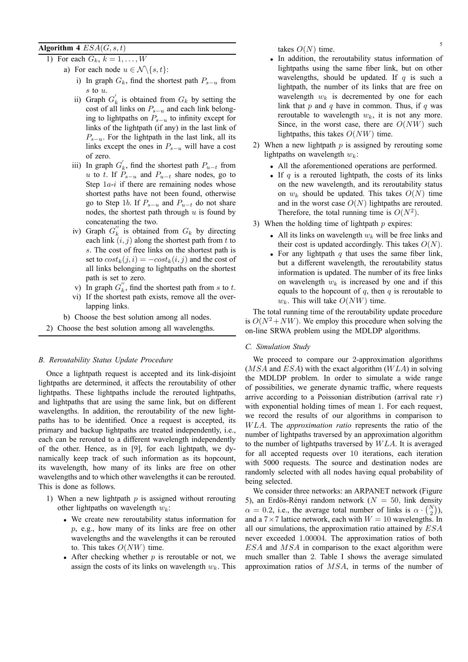# **Algorithm 4**  $ESA(G, s, t)$  takes  $O(N)$  time.

- 1) For each  $G_k$ ,  $k = 1, \ldots, W$ 
	- a) For each node  $u \in \mathcal{N} \backslash \{s, t\}$ :
		- i) In graph  $G_k$ , find the shortest path  $P_{s-u}$  from s to u.
		- ii) Graph  $G'_k$  is obtained from  $G_k$  by setting the cost of all links on  $P_{s-u}$  and each link belonging to lightpaths on  $P_{s-u}$  to infinity except for links of the lightpath (if any) in the last link of  $P_{s-u}$ . For the lightpath in the last link, all its links except the ones in  $P_{s-u}$  will have a cost of zero.
		- iii) In graph  $G'_{k}$ , find the shortest path  $P_{u-t}$  from u to t. If  $P_{s-u}$  and  $P_{u-t}$  share nodes, go to Step  $1a-i$  if there are remaining nodes whose shortest paths have not been found, otherwise go to Step 1b. If  $P_{s-u}$  and  $P_{u-t}$  do not share nodes, the shortest path through  $u$  is found by concatenating the two.
		- iv) Graph  $G_k''$  is obtained from  $G_k$  by directing each link  $(i, j)$  along the shortest path from t to s. The cost of free links on the shortest path is set to  $cost_k(j, i) = -cost_k(i, j)$  and the cost of all links belonging to lightpaths on the shortest path is set to zero.
		- v) In graph  $G_k''$ , find the shortest path from s to t.
		- vi) If the shortest path exists, remove all the overlapping links.
	- b) Choose the best solution among all nodes.
- 2) Choose the best solution among all wavelengths.

# *B. Reroutability Status Update Procedure*

Once a lightpath request is accepted and its link-disjoint lightpaths are determined, it affects the reroutability of other lightpaths. These lightpaths include the rerouted lightpaths, and lightpaths that are using the same link, but on different wavelengths. In addition, the reroutability of the new lightpaths has to be identified. Once a request is accepted, its primary and backup lightpaths are treated independently, i.e., each can be rerouted to a different wavelength independently of the other. Hence, as in [9], for each lightpath, we dynamically keep track of such information as its hopcount, its wavelength, how many of its links are free on other wavelengths and to which other wavelengths it can be rerouted. This is done as follows.

- 1) When a new lightpath  $p$  is assigned without rerouting other lightpaths on wavelength  $w_k$ :
	- We create new reroutability status information for p, e.g., how many of its links are free on other wavelengths and the wavelengths it can be rerouted to. This takes  $O(NW)$  time.
	- After checking whether  $p$  is reroutable or not, we assign the costs of its links on wavelength  $w_k$ . This

takes  $O(N)$  time.

- In addition, the reroutability status information of lightpaths using the same fiber link, but on other wavelengths, should be updated. If  $q$  is such a lightpath, the number of its links that are free on wavelength  $w_k$  is decremented by one for each link that  $p$  and  $q$  have in common. Thus, if  $q$  was reroutable to wavelength  $w_k$ , it is not any more. Since, in the worst case, there are  $O(NW)$  such lightpaths, this takes  $O(NW)$  time.
- 2) When a new lightpath  $p$  is assigned by rerouting some lightpaths on wavelength  $w_k$ :
	- All the aforementioned operations are performed.
	- If  $q$  is a rerouted lightpath, the costs of its links on the new wavelength, and its reroutability status on  $w_k$  should be updated. This takes  $O(N)$  time and in the worst case  $O(N)$  lightpaths are rerouted. Therefore, the total running time is  $O(N^2)$ .
- 3) When the holding time of lightpath  $p$  expires:
	- All its links on wavelength  $w_k$  will be free links and their cost is updated accordingly. This takes  $O(N)$ .
	- For any lightpath  $q$  that uses the same fiber link, but a different wavelength, the reroutability status information is updated. The number of its free links on wavelength  $w_k$  is increased by one and if this equals to the hopcount of  $q$ , then  $q$  is reroutable to  $w_k$ . This will take  $O(NW)$  time.

The total running time of the reroutability update procedure is  $O(N^2 + NW)$ . We employ this procedure when solving the on-line SRWA problem using the MDLDP algorithms.

# *C. Simulation Study*

We proceed to compare our 2-approximation algorithms  $(MSA$  and  $ESA)$  with the exact algorithm  $(WLA)$  in solving the MDLDP problem. In order to simulate a wide range of possibilities, we generate dynamic traffic, where requests arrive according to a Poissonian distribution (arrival rate  $r$ ) with exponential holding times of mean 1. For each request, we record the results of our algorithms in comparison to WLA. The *approximation ratio* represents the ratio of the number of lightpaths traversed by an approximation algorithm to the number of lightpaths traversed by WLA. It is averaged for all accepted requests over 10 iterations, each iteration with 5000 requests. The source and destination nodes are randomly selected with all nodes having equal probability of being selected.

We consider three networks: an ARPANET network (Figure 5), an Erdös-Rényi random network ( $N = 50$ , link density  $\alpha = 0.2$ , i.e., the average total number of links is  $\alpha \cdot {N \choose 2}$ , and a  $7 \times 7$  lattice network, each with  $W = 10$  wavelengths. In all our simulations, the approximation ratio attained by ESA never exceeded 1.00004. The approximation ratios of both ESA and MSA in comparison to the exact algorithm were much smaller than 2. Table I shows the average simulated approximation ratios of MSA, in terms of the number of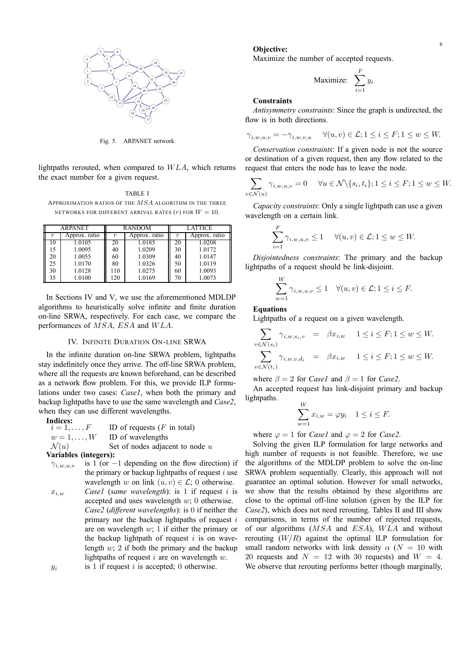

Fig. 5. ARPANET network

lightpaths rerouted, when compared to WLA, which returns the exact number for a given request.

TABLE I APPROXIMATION RATIOS OF THE  $MSA$  algorithm in the three NETWORKS FOR DIFFERENT ARRIVAL RATES  $(r)$  FOR  $W = 10$ .

| <b>ARPANET</b> |               | <b>RANDOM</b> |               | <b>LATTICE</b> |               |
|----------------|---------------|---------------|---------------|----------------|---------------|
| r              | Approx. ratio |               | Approx. ratio | r              | Approx. ratio |
| 10             | 1.0105        | 20            | 1.0185        | 20             | 1.0208        |
| 15             | 1.0095        | 40            | 1.0209        | 30             | 1.0172        |
| 20             | 1.0055        | 60            | 1.0309        | 40             | 1.0147        |
| 25             | 1.0170        | 80            | 1.0326        | 50             | 1.0119        |
| 30             | 1.0128        | 110           | 1.0275        | 60             | 1.0093        |
| 35             | 1.0100        | 120           | 1.0169        | 70             | 1.0073        |

In Sections IV and V, we use the aforementioned MDLDP algorithms to heuristically solve infinite and finite duration on-line SRWA, respectively. For each case, we compare the performances of MSA, ESA and WLA.

#### IV. INFINITE DURATION ON-LINE SRWA

In the infinite duration on-line SRWA problem, lightpaths stay indefinitely once they arrive. The off-line SRWA problem, where all the requests are known beforehand, can be described as a network flow problem. For this, we provide ILP formulations under two cases: *Case1*, when both the primary and backup lightpaths have to use the same wavelength and *Case2*, when they can use different wavelengths.

**Indices:**<br> $i = 1, \ldots, F$ ID of requests  $(F$  in total)  $w = 1, \ldots, W$  ID of wavelengths  $\mathcal{N}(u)$  Set of nodes adjacent to node u **Variables (integers):**

- $\gamma_{i,w,u,v}$  is 1 (or −1 depending on the flow direction) if the primary or backup lightpaths of request  $i$  use wavelength w on link  $(u, v) \in \mathcal{L}$ ; 0 otherwise.
- $x_{i,w}$  *Casel (same wavelength)*: is 1 if request i is accepted and uses wavelength  $w$ ; 0 otherwise. *Case2* (*different wavelengths*): is 0 if neither the primary nor the backup lightpaths of request  $i$ are on wavelength  $w$ ; 1 if either the primary or the backup lightpath of request  $i$  is on wavelength  $w: 2$  if both the primary and the backup lightpaths of request  $i$  are on wavelength  $w$ .  $y_i$  is 1 if request i is accepted; 0 otherwise.

#### **Objective:**

Maximize the number of accepted requests.

$$
\text{Maximize: } \sum_{i=1}^{F} y_i
$$

#### **Constraints**

*Antisymmetry constraints*: Since the graph is undirected, the flow is in both directions.

$$
\gamma_{i,w,u,v} = -\gamma_{i,w,v,u} \quad \forall (u,v) \in \mathcal{L}; 1 \le i \le F; 1 \le w \le W.
$$

*Conservation constraints*: If a given node is not the source or destination of a given request, then any flow related to the request that enters the node has to leave the node.

$$
\sum_{v \in \mathcal{N}(u)} \gamma_{i,w,u,v} = 0 \quad \forall u \in \mathcal{N} \setminus \{s_i, t_i\}; 1 \le i \le F; 1 \le w \le W.
$$

*Capacity constraints*: Only a single lightpath can use a given wavelength on a certain link.

$$
\sum_{i=1}^{F} \gamma_{i,w,u,v} \le 1 \quad \forall (u,v) \in \mathcal{L}; 1 \le w \le W.
$$

*Disjointedness constraints*: The primary and the backup lightpaths of a request should be link-disjoint.

$$
\sum_{w=1}^{W} \gamma_{i,w,u,v} \le 1 \quad \forall (u,v) \in \mathcal{L}; 1 \le i \le F.
$$

# **Equations**

Lightpaths of a request on a given wavelength.

$$
\sum_{v \in \mathcal{N}(s_i)} \gamma_{i,w,s_i,v} = \beta x_{i,w} \quad 1 \le i \le F; 1 \le w \le W.
$$
  

$$
\sum_{v \in \mathcal{N}(t_i)} \gamma_{i,w,v,d_i} = \beta x_{i,w} \quad 1 \le i \le F; 1 \le w \le W.
$$

where  $\beta = 2$  for *Case1* and  $\beta = 1$  for *Case2*.

An accepted request has link-disjoint primary and backup lightpaths.

$$
\sum_{w=1}^{W} x_{i,w} = \varphi y_i \quad 1 \le i \le F.
$$

where  $\varphi = 1$  for *Case1* and  $\varphi = 2$  for *Case2*.

Solving the given ILP formulation for large networks and high number of requests is not feasible. Therefore, we use the algorithms of the MDLDP problem to solve the on-line SRWA problem sequentially. Clearly, this approach will not guarantee an optimal solution. However for small networks, we show that the results obtained by these algorithms are close to the optimal off-line solution (given by the ILP for *Case2*), which does not need rerouting. Tables II and III show comparisons, in terms of the number of rejected requests, of our algorithms (MSA and ESA), WLA and without rerouting  $(W/R)$  against the optimal ILP formulation for small random networks with link density  $\alpha$  ( $N = 10$  with 20 requests and  $N = 12$  with 30 requests) and  $W = 4$ . We observe that rerouting performs better (though marginally,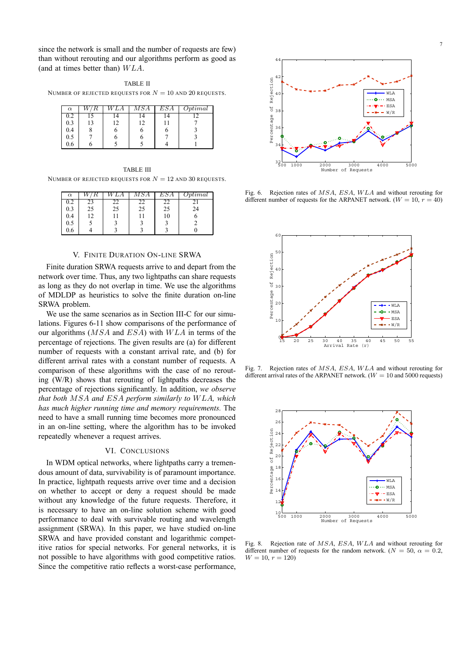since the network is small and the number of requests are few) than without rerouting and our algorithms perform as good as (and at times better than) WLA.

TABLE II NUMBER OF REJECTED REQUESTS FOR  $N = 10$  and 20 REQUESTS.

| $\alpha$ | LА | ${\scriptstyle MSA}$ | ESA | Optimal |
|----------|----|----------------------|-----|---------|
| $_{0.2}$ |    | $\overline{a}$       |     |         |
| 0.3      |    | 12                   |     |         |
| 0.4      |    |                      | n   |         |
| 0.5      |    |                      |     |         |
| 0.6      |    |                      |     |         |

TABLE III NUMBER OF REJECTED REQUESTS FOR  $N = 12$  and 30 requests.

| $\alpha$ |    |    | $\mathit{MSA}$ | ESA | $\mathcal{D}ptimal$ |
|----------|----|----|----------------|-----|---------------------|
| 0.2      | 23 |    |                | 22  |                     |
| 0.3      | 25 | 25 | 25             | 25  | 24                  |
| 0.4      | 12 |    |                | 10  |                     |
| 0.5      |    |    |                |     |                     |
| 0.6      |    |    |                |     |                     |

# V. FINITE DURATION ON-LINE SRWA

Finite duration SRWA requests arrive to and depart from the network over time. Thus, any two lightpaths can share requests as long as they do not overlap in time. We use the algorithms of MDLDP as heuristics to solve the finite duration on-line SRWA problem.

We use the same scenarios as in Section III-C for our simulations. Figures 6-11 show comparisons of the performance of our algorithms (MSA and ESA) with WLA in terms of the percentage of rejections. The given results are (a) for different number of requests with a constant arrival rate, and (b) for different arrival rates with a constant number of requests. A comparison of these algorithms with the case of no rerouting (W/R) shows that rerouting of lightpaths decreases the percentage of rejections significantly. In addition, *we observe that both* MSA *and* ESA *perform similarly to* WLA*, which has much higher running time and memory requirements.* The need to have a small running time becomes more pronounced in an on-line setting, where the algorithm has to be invoked repeatedly whenever a request arrives.

# VI. CONCLUSIONS

In WDM optical networks, where lightpaths carry a tremendous amount of data, survivability is of paramount importance. In practice, lightpath requests arrive over time and a decision on whether to accept or deny a request should be made without any knowledge of the future requests. Therefore, it is necessary to have an on-line solution scheme with good performance to deal with survivable routing and wavelength assignment (SRWA). In this paper, we have studied on-line SRWA and have provided constant and logarithmic competitive ratios for special networks. For general networks, it is not possible to have algorithms with good competitive ratios. Since the competitive ratio reflects a worst-case performance,



Fig. 6. Rejection rates of MSA, ESA, WLA and without rerouting for different number of requests for the ARPANET network.  $(W = 10, r = 40)$ 



Fig. 7. Rejection rates of MSA, ESA, WLA and without rerouting for different arrival rates of the ARPANET network.  $(W = 10$  and 5000 requests)



Fig. 8. Rejection rate of MSA, ESA, WLA and without rerouting for different number of requests for the random network. ( $N = 50$ ,  $\alpha = 0.2$ ,  $W = 10, r = 120$